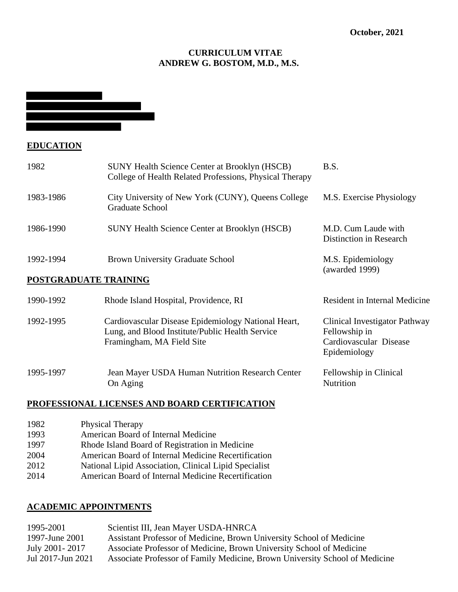## **CURRICULUM VITAE ANDREW G. BOSTOM, M.D., M.S.**

# **EDUCATION**

| 1982                  | <b>SUNY Health Science Center at Brooklyn (HSCB)</b><br>College of Health Related Professions, Physical Therapy                     | B.S.                                                                                     |
|-----------------------|-------------------------------------------------------------------------------------------------------------------------------------|------------------------------------------------------------------------------------------|
| 1983-1986             | City University of New York (CUNY), Queens College<br>Graduate School                                                               | M.S. Exercise Physiology                                                                 |
| 1986-1990             | <b>SUNY Health Science Center at Brooklyn (HSCB)</b>                                                                                | M.D. Cum Laude with<br>Distinction in Research                                           |
| 1992-1994             | <b>Brown University Graduate School</b>                                                                                             | M.S. Epidemiology<br>(awarded 1999)                                                      |
| POSTGRADUATE TRAINING |                                                                                                                                     |                                                                                          |
| 1990-1992             | Rhode Island Hospital, Providence, RI                                                                                               | Resident in Internal Medicine                                                            |
| 1992-1995             | Cardiovascular Disease Epidemiology National Heart,<br>Lung, and Blood Institute/Public Health Service<br>Framingham, MA Field Site | Clinical Investigator Pathway<br>Fellowship in<br>Cardiovascular Disease<br>Epidemiology |
| 1995-1997             | Jean Mayer USDA Human Nutrition Research Center<br>On Aging                                                                         | Fellowship in Clinical<br><b>Nutrition</b>                                               |

## **PROFESSIONAL LICENSES AND BOARD CERTIFICATION**

On Aging

| 1982 | <b>Physical Therapy</b>                               |
|------|-------------------------------------------------------|
| 1993 | American Board of Internal Medicine                   |
| 1997 | Rhode Island Board of Registration in Medicine        |
| 2004 | American Board of Internal Medicine Recertification   |
| 2012 | National Lipid Association, Clinical Lipid Specialist |
| 2014 | American Board of Internal Medicine Recertification   |

# **ACADEMIC APPOINTMENTS**

| Scientist III, Jean Mayer USDA-HNRCA                                        |
|-----------------------------------------------------------------------------|
| Assistant Professor of Medicine, Brown University School of Medicine        |
| Associate Professor of Medicine, Brown University School of Medicine        |
| Associate Professor of Family Medicine, Brown University School of Medicine |
|                                                                             |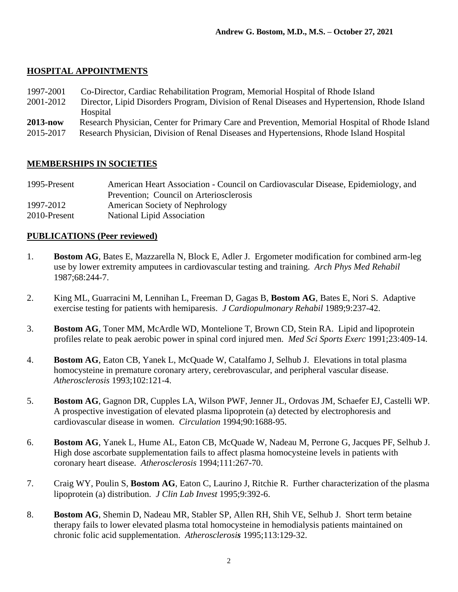# **HOSPITAL APPOINTMENTS**

- 1997-2001 Co-Director, Cardiac Rehabilitation Program, Memorial Hospital of Rhode Island
- 2001-2012 Director, Lipid Disorders Program, Division of Renal Diseases and Hypertension, Rhode Island Hospital
- **2013-now** Research Physician, Center for Primary Care and Prevention, Memorial Hospital of Rhode Island
- 2015-2017 Research Physician, Division of Renal Diseases and Hypertensions, Rhode Island Hospital

## **MEMBERSHIPS IN SOCIETIES**

| 1995-Present | American Heart Association - Council on Cardiovascular Disease, Epidemiology, and |
|--------------|-----------------------------------------------------------------------------------|
|              | Prevention; Council on Arteriosclerosis                                           |
| 1997-2012    | American Society of Nephrology                                                    |
| 2010-Present | National Lipid Association                                                        |

# **PUBLICATIONS (Peer reviewed)**

- 1. **Bostom AG**, Bates E, Mazzarella N, Block E, Adler J. Ergometer modification for combined arm-leg use by lower extremity amputees in cardiovascular testing and training. *Arch Phys Med Rehabil* 1987;68:244-7.
- 2. King ML, Guarracini M, Lennihan L, Freeman D, Gagas B, **Bostom AG**, Bates E, Nori S. Adaptive exercise testing for patients with hemiparesis. *J Cardiopulmonary Rehabil* 1989;9:237-42.
- 3. **Bostom AG**, Toner MM, McArdle WD, Montelione T, Brown CD, Stein RA. Lipid and lipoprotein profiles relate to peak aerobic power in spinal cord injured men. *Med Sci Sports Exerc* 1991;23:409-14.
- 4. **Bostom AG**, Eaton CB, Yanek L, McQuade W, Catalfamo J, Selhub J. Elevations in total plasma homocysteine in premature coronary artery, cerebrovascular, and peripheral vascular disease. *Atherosclerosis* 1993;102:121-4.
- 5. **Bostom AG**, Gagnon DR, Cupples LA, Wilson PWF, Jenner JL, Ordovas JM, Schaefer EJ, Castelli WP. A prospective investigation of elevated plasma lipoprotein (a) detected by electrophoresis and cardiovascular disease in women. *Circulation* 1994;90:1688-95.
- 6. **Bostom AG**, Yanek L, Hume AL, Eaton CB, McQuade W, Nadeau M, Perrone G, Jacques PF, Selhub J. High dose ascorbate supplementation fails to affect plasma homocysteine levels in patients with coronary heart disease. *Atherosclerosis* 1994;111:267-70.
- 7. Craig WY, Poulin S, **Bostom AG**, Eaton C, Laurino J, Ritchie R. Further characterization of the plasma lipoprotein (a) distribution. *J Clin Lab Invest* 1995;9:392-6.
- 8. **Bostom AG**, Shemin D, Nadeau MR, Stabler SP, Allen RH, Shih VE, Selhub J. Short term betaine therapy fails to lower elevated plasma total homocysteine in hemodialysis patients maintained on chronic folic acid supplementation. *Atherosclerosis* 1995;113:129-32.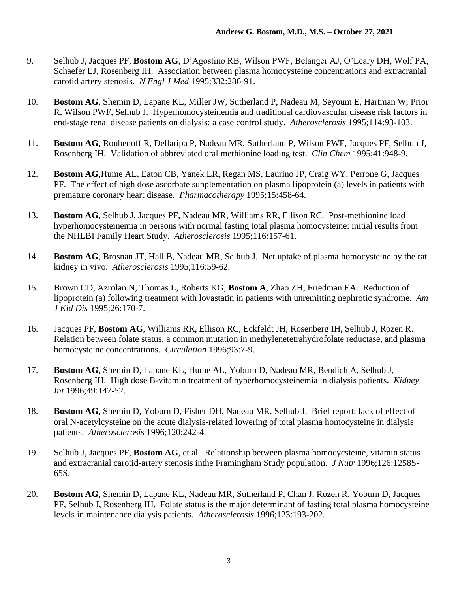- 9. Selhub J, Jacques PF, **Bostom AG**, D'Agostino RB, Wilson PWF, Belanger AJ, O'Leary DH, Wolf PA, Schaefer EJ, Rosenberg IH. Association between plasma homocysteine concentrations and extracranial carotid artery stenosis. *N Engl J Med* 1995;332:286-91.
- 10. **Bostom AG**, Shemin D, Lapane KL, Miller JW, Sutherland P, Nadeau M, Seyoum E, Hartman W, Prior R, Wilson PWF, Selhub J. Hyperhomocysteinemia and traditional cardiovascular disease risk factors in end-stage renal disease patients on dialysis: a case control study. *Atherosclerosis* 1995;114:93-103.
- 11. **Bostom AG**, Roubenoff R, Dellaripa P, Nadeau MR, Sutherland P, Wilson PWF, Jacques PF, Selhub J, Rosenberg IH. Validation of abbreviated oral methionine loading test. *Clin Chem* 1995;41:948-9.
- 12. **Bostom AG***,*Hume AL, Eaton CB, Yanek LR, Regan MS, Laurino JP, Craig WY, Perrone G, Jacques PF. The effect of high dose ascorbate supplementation on plasma lipoprotein (a) levels in patients with premature coronary heart disease. *Pharmacotherapy* 1995;15:458-64.
- 13. **Bostom AG**, Selhub J, Jacques PF, Nadeau MR, Williams RR, Ellison RC. Post-methionine load hyperhomocysteinemia in persons with normal fasting total plasma homocysteine: initial results from the NHLBI Family Heart Study. *Atherosclerosis* 1995;116:157-61.
- 14. **Bostom AG**, Brosnan JT, Hall B, Nadeau MR, Selhub J. Net uptake of plasma homocysteine by the rat kidney in vivo. *Atherosclerosis* 1995;116:59-62.
- 15. Brown CD, Azrolan N, Thomas L, Roberts KG, **Bostom A**, Zhao ZH, Friedman EA. Reduction of lipoprotein (a) following treatment with lovastatin in patients with unremitting nephrotic syndrome. *Am J Kid Dis* 1995;26:170-7.
- 16. Jacques PF, **Bostom AG**, Williams RR, Ellison RC, Eckfeldt JH, Rosenberg IH, Selhub J, Rozen R. Relation between folate status, a common mutation in methylenetetrahydrofolate reductase, and plasma homocysteine concentrations. *Circulation* 1996;93:7-9.
- 17. **Bostom AG**, Shemin D, Lapane KL, Hume AL, Yoburn D, Nadeau MR, Bendich A, Selhub J, Rosenberg IH. High dose B-vitamin treatment of hyperhomocysteinemia in dialysis patients. *Kidney Int* 1996;49:147-52.
- 18. **Bostom AG**, Shemin D, Yoburn D, Fisher DH, Nadeau MR, Selhub J. Brief report: lack of effect of oral N-acetylcysteine on the acute dialysis-related lowering of total plasma homocysteine in dialysis patients. *Atherosclerosis* 1996;120:242-4.
- 19. Selhub J, Jacques PF, **Bostom AG**, et al. Relationship between plasma homocycsteine, vitamin status and extracranial carotid-artery stenosis inthe Framingham Study population. *J Nutr* 1996;126:1258S-65S.
- 20. **Bostom AG**, Shemin D, Lapane KL, Nadeau MR, Sutherland P, Chan J, Rozen R, Yoburn D, Jacques PF, Selhub J, Rosenberg IH. Folate status is the major determinant of fasting total plasma homocysteine levels in maintenance dialysis patients. *Atherosclerosis* 1996;123:193-202.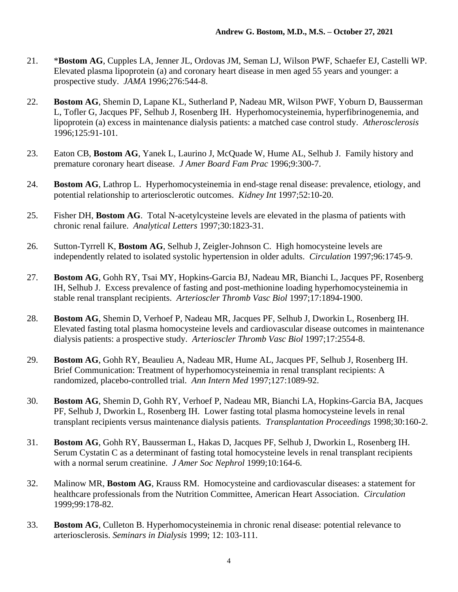- 21. \***Bostom AG**, Cupples LA, Jenner JL, Ordovas JM, Seman LJ, Wilson PWF, Schaefer EJ, Castelli WP. Elevated plasma lipoprotein (a) and coronary heart disease in men aged 55 years and younger: a prospective study. *JAMA* 1996;276:544-8.
- 22. **Bostom AG**, Shemin D, Lapane KL, Sutherland P, Nadeau MR, Wilson PWF, Yoburn D, Bausserman L, Tofler G, Jacques PF, Selhub J, Rosenberg IH. Hyperhomocysteinemia, hyperfibrinogenemia, and lipoprotein (a) excess in maintenance dialysis patients: a matched case control study. *Atherosclerosis* 1996;125:91-101.
- 23. Eaton CB, **Bostom AG**, Yanek L, Laurino J, McQuade W, Hume AL, Selhub J. Family history and premature coronary heart disease. *J Amer Board Fam Prac* 1996;9:300-7.
- 24. **Bostom AG**, Lathrop L. Hyperhomocysteinemia in end-stage renal disease: prevalence, etiology, and potential relationship to arteriosclerotic outcomes. *Kidney Int* 1997;52:10-20.
- 25. Fisher DH, **Bostom AG**. Total N-acetylcysteine levels are elevated in the plasma of patients with chronic renal failure. *Analytical Letters* 1997;30:1823-31.
- 26. Sutton-Tyrrell K, **Bostom AG**, Selhub J, Zeigler-Johnson C. High homocysteine levels are independently related to isolated systolic hypertension in older adults. *Circulation* 1997;96:1745-9.
- 27. **Bostom AG**, Gohh RY, Tsai MY, Hopkins-Garcia BJ, Nadeau MR, Bianchi L, Jacques PF, Rosenberg IH, Selhub J. Excess prevalence of fasting and post-methionine loading hyperhomocysteinemia in stable renal transplant recipients. *Arterioscler Thromb Vasc Biol* 1997;17:1894-1900.
- 28. **Bostom AG**, Shemin D, Verhoef P, Nadeau MR, Jacques PF, Selhub J, Dworkin L, Rosenberg IH. Elevated fasting total plasma homocysteine levels and cardiovascular disease outcomes in maintenance dialysis patients: a prospective study. *Arterioscler Thromb Vasc Biol* 1997;17:2554-8.
- 29. **Bostom AG**, Gohh RY, Beaulieu A, Nadeau MR, Hume AL, Jacques PF, Selhub J, Rosenberg IH. Brief Communication: Treatment of hyperhomocysteinemia in renal transplant recipients: A randomized, placebo-controlled trial. *Ann Intern Med* 1997;127:1089-92.
- 30. **Bostom AG**, Shemin D, Gohh RY, Verhoef P, Nadeau MR, Bianchi LA, Hopkins-Garcia BA, Jacques PF, Selhub J, Dworkin L, Rosenberg IH. Lower fasting total plasma homocysteine levels in renal transplant recipients versus maintenance dialysis patients. *Transplantation Proceedings* 1998;30:160-2.
- 31. **Bostom AG**, Gohh RY, Bausserman L, Hakas D, Jacques PF, Selhub J, Dworkin L, Rosenberg IH. Serum Cystatin C as a determinant of fasting total homocysteine levels in renal transplant recipients with a normal serum creatinine. *J Amer Soc Nephrol* 1999;10:164-6.
- 32. Malinow MR, **Bostom AG**, Krauss RM. Homocysteine and cardiovascular diseases: a statement for healthcare professionals from the Nutrition Committee, American Heart Association. *Circulation*  1999;99:178-82.
- 33. **Bostom AG**, Culleton B. Hyperhomocysteinemia in chronic renal disease: potential relevance to arteriosclerosis. *Seminars in Dialysis* 1999; 12: 103-111.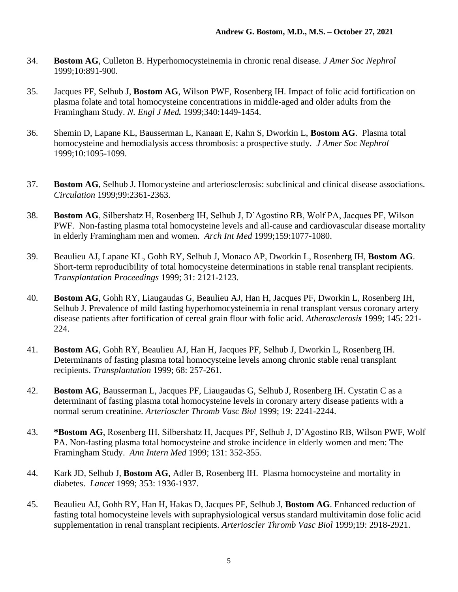- 34. **Bostom AG**, Culleton B. Hyperhomocysteinemia in chronic renal disease. *J Amer Soc Nephrol* 1999;10:891-900.
- 35. Jacques PF, Selhub J, **Bostom AG**, Wilson PWF, Rosenberg IH. Impact of folic acid fortification on plasma folate and total homocysteine concentrations in middle-aged and older adults from the Framingham Study. *N. Engl J Med.* 1999;340:1449-1454.
- 36. Shemin D, Lapane KL, Bausserman L, Kanaan E, Kahn S, Dworkin L, **Bostom AG**. Plasma total homocysteine and hemodialysis access thrombosis: a prospective study. *J Amer Soc Nephrol* 1999;10:1095-1099.
- 37. **Bostom AG**, Selhub J. Homocysteine and arteriosclerosis: subclinical and clinical disease associations. *Circulation* 1999;99:2361-2363.
- 38. **Bostom AG**, Silbershatz H, Rosenberg IH, Selhub J, D'Agostino RB, Wolf PA, Jacques PF, Wilson PWF. Non-fasting plasma total homocysteine levels and all-cause and cardiovascular disease mortality in elderly Framingham men and women. *Arch Int Med* 1999;159:1077-1080.
- 39. Beaulieu AJ, Lapane KL, Gohh RY, Selhub J, Monaco AP, Dworkin L, Rosenberg IH, **Bostom AG**. Short-term reproducibility of total homocysteine determinations in stable renal transplant recipients. *Transplantation Proceedings* 1999; 31: 2121-2123.
- 40. **Bostom AG**, Gohh RY, Liaugaudas G, Beaulieu AJ, Han H, Jacques PF, Dworkin L, Rosenberg IH, Selhub J. Prevalence of mild fasting hyperhomocysteinemia in renal transplant versus coronary artery disease patients after fortification of cereal grain flour with folic acid. *Atherosclerosis* 1999; 145: 221- 224.
- 41. **Bostom AG**, Gohh RY, Beaulieu AJ, Han H, Jacques PF, Selhub J, Dworkin L, Rosenberg IH. Determinants of fasting plasma total homocysteine levels among chronic stable renal transplant recipients. *Transplantation* 1999; 68: 257-261.
- 42. **Bostom AG**, Bausserman L, Jacques PF, Liaugaudas G, Selhub J, Rosenberg IH. Cystatin C as a determinant of fasting plasma total homocysteine levels in coronary artery disease patients with a normal serum creatinine. *Arterioscler Thromb Vasc Biol* 1999; 19: 2241-2244.
- 43. **\*Bostom AG**, Rosenberg IH, Silbershatz H, Jacques PF, Selhub J, D'Agostino RB, Wilson PWF, Wolf PA. Non-fasting plasma total homocysteine and stroke incidence in elderly women and men: The Framingham Study. *Ann Intern Med* 1999; 131: 352-355.
- 44. Kark JD, Selhub J, **Bostom AG**, Adler B, Rosenberg IH. Plasma homocysteine and mortality in diabetes. *Lancet* 1999; 353: 1936-1937.
- 45. Beaulieu AJ, Gohh RY, Han H, Hakas D, Jacques PF, Selhub J, **Bostom AG**. Enhanced reduction of fasting total homocysteine levels with supraphysiological versus standard multivitamin dose folic acid supplementation in renal transplant recipients. *Arterioscler Thromb Vasc Biol* 1999;19: 2918-2921.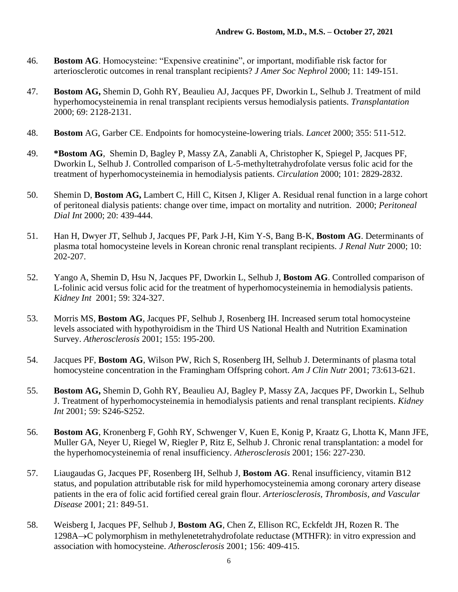- 46. **Bostom AG**. Homocysteine: "Expensive creatinine", or important, modifiable risk factor for arteriosclerotic outcomes in renal transplant recipients? *J Amer Soc Nephrol* 2000; 11: 149-151.
- 47. **Bostom AG,** Shemin D, Gohh RY, Beaulieu AJ, Jacques PF, Dworkin L, Selhub J. Treatment of mild hyperhomocysteinemia in renal transplant recipients versus hemodialysis patients. *Transplantation* 2000; 69: 2128-2131.
- 48. **Bostom** AG, Garber CE. Endpoints for homocysteine-lowering trials. *Lancet* 2000; 355: 511-512.
- 49. **\*Bostom AG**, Shemin D, Bagley P, Massy ZA, Zanabli A, Christopher K, Spiegel P, Jacques PF, Dworkin L, Selhub J. Controlled comparison of L-5-methyltetrahydrofolate versus folic acid for the treatment of hyperhomocysteinemia in hemodialysis patients. *Circulation* 2000; 101: 2829-2832.
- 50. Shemin D, **Bostom AG,** Lambert C, Hill C, Kitsen J, Kliger A. Residual renal function in a large cohort of peritoneal dialysis patients: change over time, impact on mortality and nutrition. 2000; *Peritoneal Dial Int* 2000; 20: 439-444.
- 51. Han H, Dwyer JT, Selhub J, Jacques PF, Park J-H, Kim Y-S, Bang B-K, **Bostom AG**. Determinants of plasma total homocysteine levels in Korean chronic renal transplant recipients. *J Renal Nutr* 2000; 10: 202-207.
- 52. Yango A, Shemin D, Hsu N, Jacques PF, Dworkin L, Selhub J, **Bostom AG**. Controlled comparison of L-folinic acid versus folic acid for the treatment of hyperhomocysteinemia in hemodialysis patients. *Kidney Int* 2001; 59: 324-327.
- 53. Morris MS, **Bostom AG**, Jacques PF, Selhub J, Rosenberg IH. Increased serum total homocysteine levels associated with hypothyroidism in the Third US National Health and Nutrition Examination Survey. *Atherosclerosis* 2001; 155: 195-200.
- 54. Jacques PF, **Bostom AG**, Wilson PW, Rich S, Rosenberg IH, Selhub J. Determinants of plasma total homocysteine concentration in the Framingham Offspring cohort. *Am J Clin Nutr* 2001; 73:613-621.
- 55. **Bostom AG,** Shemin D, Gohh RY, Beaulieu AJ, Bagley P, Massy ZA, Jacques PF, Dworkin L, Selhub J. Treatment of hyperhomocysteinemia in hemodialysis patients and renal transplant recipients. *Kidney Int* 2001; 59: S246-S252.
- 56. **Bostom AG**, Kronenberg F, Gohh RY, Schwenger V, Kuen E, Konig P, Kraatz G, Lhotta K, Mann JFE, Muller GA, Neyer U, Riegel W, Riegler P, Ritz E, Selhub J. Chronic renal transplantation: a model for the hyperhomocysteinemia of renal insufficiency. *Atherosclerosis* 2001; 156: 227-230.
- 57. Liaugaudas G, Jacques PF, Rosenberg IH, Selhub J, **Bostom AG**. Renal insufficiency, vitamin B12 status, and population attributable risk for mild hyperhomocysteinemia among coronary artery disease patients in the era of folic acid fortified cereal grain flour. *Arteriosclerosis, Thrombosis, and Vascular Disease* 2001; 21: 849-51.
- 58. Weisberg I, Jacques PF, Selhub J, **Bostom AG**, Chen Z, Ellison RC, Eckfeldt JH, Rozen R. The 1298A→C polymorphism in methylenetetrahydrofolate reductase (MTHFR): in vitro expression and association with homocysteine. *Atherosclerosis* 2001; 156: 409-415.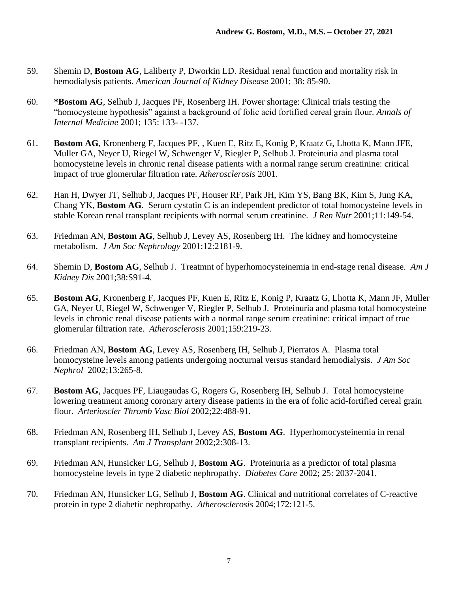- 59. Shemin D, **Bostom AG**, Laliberty P, Dworkin LD. Residual renal function and mortality risk in hemodialysis patients. *American Journal of Kidney Disease* 2001; 38: 85-90.
- 60. **\*Bostom AG**, Selhub J, Jacques PF, Rosenberg IH. Power shortage: Clinical trials testing the "homocysteine hypothesis" against a background of folic acid fortified cereal grain flour. *Annals of Internal Medicine* 2001; 135: 133- -137.
- 61. **Bostom AG**, Kronenberg F, Jacques PF, , Kuen E, Ritz E, Konig P, Kraatz G, Lhotta K, Mann JFE, Muller GA, Neyer U, Riegel W, Schwenger V, Riegler P, Selhub J. Proteinuria and plasma total homocysteine levels in chronic renal disease patients with a normal range serum creatinine: critical impact of true glomerular filtration rate. *Atherosclerosis* 2001.
- 62. Han H, Dwyer JT, Selhub J, Jacques PF, Houser RF, Park JH, Kim YS, Bang BK, Kim S, Jung KA, Chang YK, **Bostom AG**. Serum cystatin C is an independent predictor of total homocysteine levels in stable Korean renal transplant recipients with normal serum creatinine. *J Ren Nutr* 2001;11:149-54.
- 63. Friedman AN, **Bostom AG**, Selhub J, Levey AS, Rosenberg IH. The kidney and homocysteine metabolism. *J Am Soc Nephrology* 2001;12:2181-9.
- 64. Shemin D, **Bostom AG**, Selhub J. Treatmnt of hyperhomocysteinemia in end-stage renal disease. *Am J Kidney Dis* 2001;38:S91-4.
- 65. **Bostom AG**, Kronenberg F, Jacques PF, Kuen E, Ritz E, Konig P, Kraatz G, Lhotta K, Mann JF, Muller GA, Neyer U, Riegel W, Schwenger V, Riegler P, Selhub J. Proteinuria and plasma total homocysteine levels in chronic renal disease patients with a normal range serum creatinine: critical impact of true glomerular filtration rate. *Atherosclerosis* 2001;159:219-23.
- 66. Friedman AN, **Bostom AG**, Levey AS, Rosenberg IH, Selhub J, Pierratos A. Plasma total homocysteine levels among patients undergoing nocturnal versus standard hemodialysis. *J Am Soc Nephrol* 2002;13:265-8.
- 67. **Bostom AG**, Jacques PF, Liaugaudas G, Rogers G, Rosenberg IH, Selhub J. Total homocysteine lowering treatment among coronary artery disease patients in the era of folic acid-fortified cereal grain flour. *Arterioscler Thromb Vasc Biol* 2002;22:488-91.
- 68. Friedman AN, Rosenberg IH, Selhub J, Levey AS, **Bostom AG**. Hyperhomocysteinemia in renal transplant recipients. *Am J Transplant* 2002;2:308-13.
- 69. Friedman AN, Hunsicker LG, Selhub J, **Bostom AG**. Proteinuria as a predictor of total plasma homocysteine levels in type 2 diabetic nephropathy. *Diabetes Care* 2002; 25: 2037-2041.
- 70. Friedman AN, Hunsicker LG, Selhub J, **Bostom AG**. Clinical and nutritional correlates of C-reactive protein in type 2 diabetic nephropathy. *Atherosclerosis* 2004;172:121-5.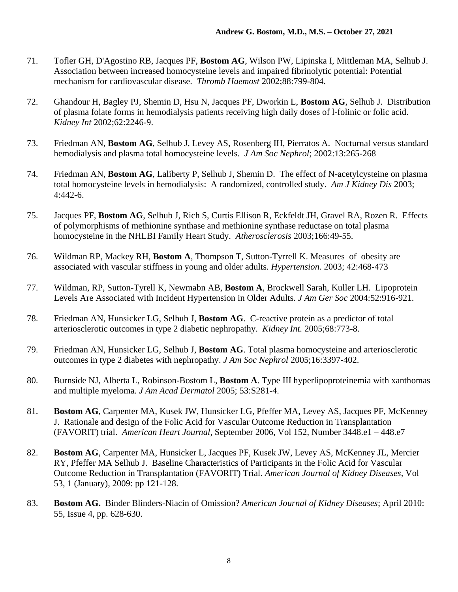- 71. Tofler GH, D'Agostino RB, Jacques PF, **Bostom AG**, Wilson PW, Lipinska I, Mittleman MA, Selhub J. Association between increased homocysteine levels and impaired fibrinolytic potential: Potential mechanism for cardiovascular disease. *Thromb Haemost* 2002;88:799-804.
- 72. Ghandour H, Bagley PJ, Shemin D, Hsu N, Jacques PF, Dworkin L, **Bostom AG**, Selhub J. Distribution of plasma folate forms in hemodialysis patients receiving high daily doses of l-folinic or folic acid. *Kidney Int* 2002;62:2246-9.
- 73. Friedman AN, **Bostom AG**, Selhub J, Levey AS, Rosenberg IH, Pierratos A. Nocturnal versus standard hemodialysis and plasma total homocysteine levels. *J Am Soc Nephrol*; 2002:13:265-268
- 74. Friedman AN, **Bostom AG**, Laliberty P, Selhub J, Shemin D. The effect of N-acetylcysteine on plasma total homocysteine levels in hemodialysis: A randomized, controlled study. *Am J Kidney Dis* 2003; 4:442-6.
- 75. Jacques PF, **Bostom AG**, Selhub J, Rich S, Curtis Ellison R, Eckfeldt JH, Gravel RA, Rozen R. Effects of polymorphisms of methionine synthase and methionine synthase reductase on total plasma homocysteine in the NHLBI Family Heart Study. *Atherosclerosis* 2003;166:49-55.
- 76. Wildman RP, Mackey RH, **Bostom A**, Thompson T, Sutton-Tyrrell K. Measures of obesity are associated with vascular stiffness in young and older adults. *Hypertension.* 2003; 42:468-473
- 77. Wildman, RP, Sutton-Tyrell K, Newmabn AB, **Bostom A**, Brockwell Sarah, Kuller LH. Lipoprotein Levels Are Associated with Incident Hypertension in Older Adults. *J Am Ger Soc* 2004:52:916-921.
- 78. Friedman AN, Hunsicker LG, Selhub J, **Bostom AG**. C-reactive protein as a predictor of total arteriosclerotic outcomes in type 2 diabetic nephropathy. *Kidney Int.* 2005;68:773-8.
- 79. Friedman AN, Hunsicker LG, Selhub J, **Bostom AG**. Total plasma homocysteine and arteriosclerotic outcomes in type 2 diabetes with nephropathy. *J Am Soc Nephrol* 2005;16:3397-402.
- 80. Burnside NJ, Alberta L, Robinson-Bostom L, **Bostom A**. Type III hyperlipoproteinemia with xanthomas and multiple myeloma. *J Am Acad Dermatol* 2005; 53:S281-4.
- 81. **Bostom AG**, Carpenter MA, Kusek JW, Hunsicker LG, Pfeffer MA, Levey AS, Jacques PF, McKenney J. Rationale and design of the Folic Acid for Vascular Outcome Reduction in Transplantation (FAVORIT) trial. *American Heart Journal*, September 2006, Vol 152, Number 3448.e1 – 448.e7
- 82. **Bostom AG**, Carpenter MA, Hunsicker L, Jacques PF, Kusek JW, Levey AS, McKenney JL, Mercier RY, Pfeffer MA Selhub J. Baseline Characteristics of Participants in the Folic Acid for Vascular Outcome Reduction in Transplantation (FAVORIT) Trial. *American Journal of Kidney Diseases,* Vol 53, 1 (January), 2009: pp 121-128.
- 83. **Bostom AG.** Binder Blinders-Niacin of Omission? *American Journal of Kidney Diseases*; April 2010: 55, Issue 4, pp. 628-630.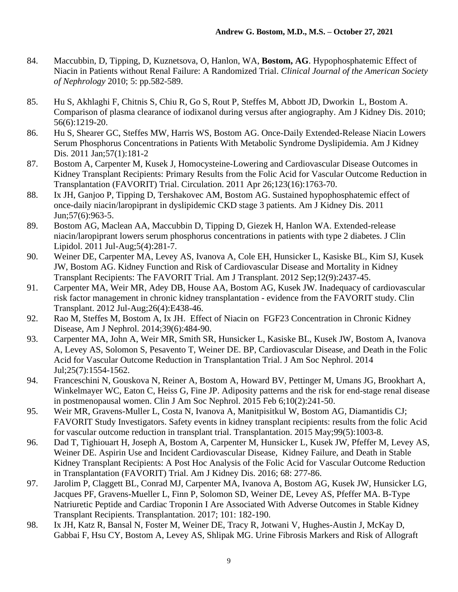- 84. Maccubbin, D, Tipping, D, Kuznetsova, O, Hanlon, WA, **Bostom, AG**. Hypophosphatemic Effect of Niacin in Patients without Renal Failure: A Randomized Trial. *Clinical Journal of the American Society of Nephrology* 2010; 5: pp.582-589.
- 85. Hu S, Akhlaghi F, Chitnis S, Chiu R, Go S, Rout P, Steffes M, Abbott JD, Dworkin L, Bostom A. Comparison of plasma clearance of iodixanol during versus after angiography. Am J Kidney Dis. 2010; 56(6):1219-20.
- 86. Hu S, Shearer GC, Steffes MW, Harris WS, Bostom AG. Once-Daily Extended-Release Niacin Lowers Serum Phosphorus Concentrations in Patients With Metabolic Syndrome Dyslipidemia. Am J Kidney Dis. 2011 Jan;57(1):181-2
- 87. Bostom A, Carpenter M, Kusek J, Homocysteine-Lowering and Cardiovascular Disease Outcomes in Kidney Transplant Recipients: Primary Results from the Folic Acid for Vascular Outcome Reduction in Transplantation (FAVORIT) Trial. Circulation. 2011 Apr 26;123(16):1763-70.
- 88. Ix JH, Ganjoo P, Tipping D, Tershakovec AM, Bostom AG. Sustained hypophosphatemic effect of once-daily niacin/laropiprant in dyslipidemic CKD stage 3 patients. Am J Kidney Dis. 2011 Jun;57(6):963-5.
- 89. Bostom AG, Maclean AA, Maccubbin D, Tipping D, Giezek H, Hanlon WA. Extended-release niacin/laropiprant lowers serum phosphorus concentrations in patients with type 2 diabetes. J Clin Lipidol. 2011 Jul-Aug;5(4):281-7.
- 90. Weiner DE, Carpenter MA, Levey AS, Ivanova A, Cole EH, Hunsicker L, Kasiske BL, Kim SJ, Kusek JW, Bostom AG. Kidney Function and Risk of Cardiovascular Disease and Mortality in Kidney Transplant Recipients: The FAVORIT Trial. Am J Transplant. 2012 Sep;12(9):2437-45.
- 91. Carpenter MA, Weir MR, Adey DB, House AA, Bostom AG, Kusek JW. Inadequacy of cardiovascular risk factor management in chronic kidney transplantation - evidence from the FAVORIT study. Clin Transplant. 2012 Jul-Aug;26(4):E438-46.
- 92. Rao M, Steffes M, Bostom A, Ix JH. Effect of Niacin on FGF23 Concentration in Chronic Kidney Disease, Am J Nephrol. 2014;39(6):484-90.
- 93. Carpenter MA, John A, Weir MR, Smith SR, Hunsicker L, Kasiske BL, Kusek JW, Bostom A, Ivanova A, Levey AS, Solomon S, Pesavento T, Weiner DE. BP, Cardiovascular Disease, and Death in the Folic Acid for Vascular Outcome Reduction in Transplantation Trial. J Am Soc Nephrol. 2014 Jul;25(7):1554-1562.
- 94. Franceschini N, Gouskova N, Reiner A, Bostom A, Howard BV, Pettinger M, Umans JG, Brookhart A, Winkelmayer WC, Eaton C, Heiss G, Fine JP. Adiposity patterns and the risk for end-stage renal disease in postmenopausal women. Clin J Am Soc Nephrol. 2015 Feb 6;10(2):241-50.
- 95. Weir MR, Gravens-Muller L, Costa N, Ivanova A, Manitpisitkul W, Bostom AG, Diamantidis CJ; FAVORIT Study Investigators. Safety events in kidney transplant recipients: results from the folic Acid for vascular outcome reduction in transplant trial. Transplantation. 2015 May;99(5):1003-8.
- 96. Dad T, Tighiouart H, Joseph A, Bostom A, Carpenter M, Hunsicker L, Kusek JW, Pfeffer M, Levey AS, Weiner DE. Aspirin Use and Incident Cardiovascular Disease, Kidney Failure, and Death in Stable Kidney Transplant Recipients: A Post Hoc Analysis of the Folic Acid for Vascular Outcome Reduction in Transplantation (FAVORIT) Trial. Am J Kidney Dis. 2016; 68: 277-86.
- 97. Jarolim P, Claggett BL, Conrad MJ, Carpenter MA, Ivanova A, Bostom AG, Kusek JW, Hunsicker LG, Jacques PF, Gravens-Mueller L, Finn P, Solomon SD, Weiner DE, Levey AS, Pfeffer MA. B-Type Natriuretic Peptide and Cardiac Troponin I Are Associated With Adverse Outcomes in Stable Kidney Transplant Recipients. Transplantation. 2017; 101: 182-190.
- 98. Ix JH, Katz R, Bansal N, Foster M, Weiner DE, Tracy R, Jotwani V, Hughes-Austin J, McKay D, Gabbai F, Hsu CY, Bostom A, Levey AS, Shlipak MG. Urine Fibrosis Markers and Risk of Allograft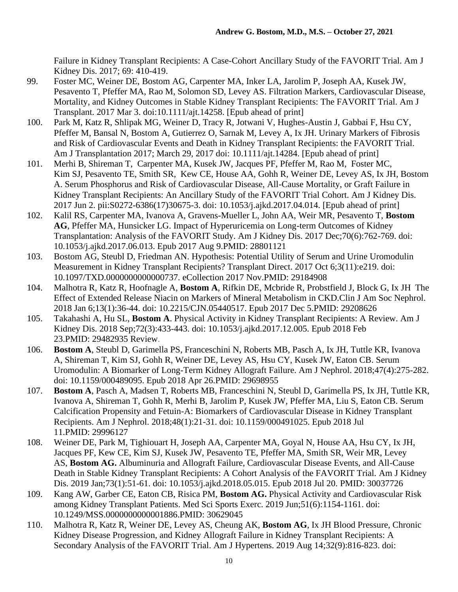Failure in Kidney Transplant Recipients: A Case-Cohort Ancillary Study of the FAVORIT Trial. Am J Kidney Dis. 2017; 69: 410-419.

- 99. Foster MC, Weiner DE, Bostom AG, Carpenter MA, Inker LA, Jarolim P, Joseph AA, Kusek JW, Pesavento T, Pfeffer MA, Rao M, Solomon SD, Levey AS. Filtration Markers, Cardiovascular Disease, Mortality, and Kidney Outcomes in Stable Kidney Transplant Recipients: The FAVORIT Trial. Am J Transplant. 2017 Mar 3. doi:10.1111/ajt.14258. [Epub ahead of print]
- 100. Park M, Katz R, Shlipak MG, Weiner D, Tracy R, Jotwani V, Hughes-Austin J, Gabbai F, Hsu CY, Pfeffer M, Bansal N, Bostom A, Gutierrez O, Sarnak M, Levey A, Ix JH. Urinary Markers of Fibrosis and Risk of Cardiovascular Events and Death in Kidney Transplant Recipients: the FAVORIT Trial. Am J Transplantation 2017; March 29, 2017 doi: 10.1111/ajt.14284. [Epub ahead of print]
- 101. Merhi B, Shireman T, Carpenter MA, Kusek JW, Jacques PF, Pfeffer M, Rao M, Foster MC, Kim SJ, Pesavento TE, Smith SR, Kew CE, House AA, Gohh R, Weiner DE, Levey AS, Ix JH, Bostom A. Serum Phosphorus and Risk of Cardiovascular Disease, All-Cause Mortality, or Graft Failure in Kidney Transplant Recipients: An Ancillary Study of the FAVORIT Trial Cohort. Am J Kidney Dis. 2017 Jun 2. pii:S0272-6386(17)30675-3. doi: 10.1053/j.ajkd.2017.04.014. [Epub ahead of print]
- 102. Kalil RS, Carpenter MA, Ivanova A, Gravens-Mueller L, John AA, Weir MR, Pesavento T, **Bostom AG**, Pfeffer MA, Hunsicker LG. Impact of Hyperuricemia on Long-term Outcomes of Kidney Transplantation: Analysis of the FAVORIT Study. Am J Kidney Dis. 2017 Dec;70(6):762-769. doi: 10.1053/j.ajkd.2017.06.013. Epub 2017 Aug 9.PMID: 28801121
- 103. Bostom AG, Steubl D, Friedman AN. Hypothesis: Potential Utility of Serum and Urine Uromodulin Measurement in Kidney Transplant Recipients? Transplant Direct. 2017 Oct 6;3(11):e219. doi: 10.1097/TXD.0000000000000737. eCollection 2017 Nov.PMID: 29184908
- 104. Malhotra R, Katz R, Hoofnagle A, **Bostom A**, Rifkin DE, Mcbride R, Probstfield J, Block G, Ix JH The Effect of Extended Release Niacin on Markers of Mineral Metabolism in CKD.Clin J Am Soc Nephrol. 2018 Jan 6;13(1):36-44. doi: 10.2215/CJN.05440517. Epub 2017 Dec 5.PMID: 29208626
- 105. Takahashi A, Hu SL, **Bostom A**. Physical Activity in Kidney Transplant Recipients: A Review. Am J Kidney Dis. 2018 Sep;72(3):433-443. doi: 10.1053/j.ajkd.2017.12.005. Epub 2018 Feb 23.PMID: 29482935 Review.
- 106. **Bostom A**, Steubl D, Garimella PS, Franceschini N, Roberts MB, Pasch A, Ix JH, Tuttle KR, Ivanova A, Shireman T, Kim SJ, Gohh R, Weiner DE, Levey AS, Hsu CY, Kusek JW, Eaton CB. Serum Uromodulin: A Biomarker of Long-Term Kidney Allograft Failure. Am J Nephrol. 2018;47(4):275-282. doi: 10.1159/000489095. Epub 2018 Apr 26.PMID: 29698955
- 107. **Bostom A**, Pasch A, Madsen T, Roberts MB, Franceschini N, Steubl D, Garimella PS, Ix JH, Tuttle KR, Ivanova A, Shireman T, Gohh R, Merhi B, Jarolim P, Kusek JW, Pfeffer MA, Liu S, Eaton CB. Serum Calcification Propensity and Fetuin-A: Biomarkers of Cardiovascular Disease in Kidney Transplant Recipients. Am J Nephrol. 2018;48(1):21-31. doi: 10.1159/000491025. Epub 2018 Jul 11.PMID: 29996127
- 108. Weiner DE, Park M, Tighiouart H, Joseph AA, Carpenter MA, Goyal N, House AA, Hsu CY, Ix JH, Jacques PF, Kew CE, Kim SJ, Kusek JW, Pesavento TE, Pfeffer MA, Smith SR, Weir MR, Levey AS, **Bostom AG.** Albuminuria and Allograft Failure, Cardiovascular Disease Events, and All-Cause Death in Stable Kidney Transplant Recipients: A Cohort Analysis of the FAVORIT Trial. Am J Kidney Dis. 2019 Jan;73(1):51-61. doi: 10.1053/j.ajkd.2018.05.015. Epub 2018 Jul 20. PMID: 30037726
- 109. Kang AW, Garber CE, Eaton CB, Risica PM, **Bostom AG.** Physical Activity and Cardiovascular Risk among Kidney Transplant Patients. Med Sci Sports Exerc. 2019 Jun;51(6):1154-1161. doi: 10.1249/MSS.0000000000001886.PMID: 30629045
- 110. Malhotra R, Katz R, Weiner DE, Levey AS, Cheung AK, **Bostom AG**, Ix JH Blood Pressure, Chronic Kidney Disease Progression, and Kidney Allograft Failure in Kidney Transplant Recipients: A Secondary Analysis of the FAVORIT Trial. Am J Hypertens. 2019 Aug 14;32(9):816-823. doi: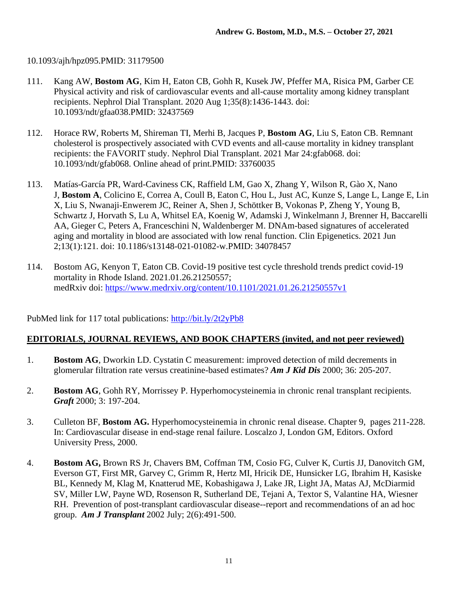# 10.1093/ajh/hpz095.PMID: 31179500

- 111. Kang AW, **Bostom AG**, Kim H, Eaton CB, Gohh R, Kusek JW, Pfeffer MA, Risica PM, Garber CE Physical activity and risk of cardiovascular events and all-cause mortality among kidney transplant recipients. Nephrol Dial Transplant. 2020 Aug 1;35(8):1436-1443. doi: 10.1093/ndt/gfaa038.PMID: 32437569
- 112. Horace RW, Roberts M, Shireman TI, Merhi B, Jacques P, **Bostom AG**, Liu S, Eaton CB. Remnant cholesterol is prospectively associated with CVD events and all-cause mortality in kidney transplant recipients: the FAVORIT study. Nephrol Dial Transplant. 2021 Mar 24:gfab068. doi: 10.1093/ndt/gfab068. Online ahead of print.PMID: 33760035
- 113. Matías-García PR, Ward-Caviness CK, Raffield LM, Gao X, Zhang Y, Wilson R, Gào X, Nano J, **Bostom A**, Colicino E, Correa A, Coull B, Eaton C, Hou L, Just AC, Kunze S, Lange L, Lange E, Lin X, Liu S, Nwanaji-Enwerem JC, Reiner A, Shen J, Schöttker B, Vokonas P, Zheng Y, Young B, Schwartz J, Horvath S, Lu A, Whitsel EA, Koenig W, Adamski J, Winkelmann J, Brenner H, Baccarelli AA, Gieger C, Peters A, Franceschini N, Waldenberger M. DNAm-based signatures of accelerated aging and mortality in blood are associated with low renal function. Clin Epigenetics. 2021 Jun 2;13(1):121. doi: 10.1186/s13148-021-01082-w.PMID: 34078457
- 114. Bostom AG, Kenyon T, Eaton CB. Covid-19 positive test cycle threshold trends predict covid-19 mortality in Rhode Island. 2021.01.26.21250557; medRxiv doi: https://www.medrxiv.org/content/10.1101/2021.01.26.21250557v1

PubMed link for 117 total publications: http://bit.ly/2t2yPb8

## **EDITORIALS, JOURNAL REVIEWS, AND BOOK CHAPTERS (invited, and not peer reviewed)**

- 1. **Bostom AG**, Dworkin LD. Cystatin C measurement: improved detection of mild decrements in glomerular filtration rate versus creatinine-based estimates? *Am J Kid Dis* 2000; 36: 205-207.
- 2. **Bostom AG**, Gohh RY, Morrissey P. Hyperhomocysteinemia in chronic renal transplant recipients. *Graft* 2000; 3: 197-204.
- 3. Culleton BF, **Bostom AG.** Hyperhomocysteinemia in chronic renal disease. Chapter 9, pages 211-228. In: Cardiovascular disease in end-stage renal failure. Loscalzo J, London GM, Editors. Oxford University Press, 2000.
- 4. **Bostom AG,** Brown RS Jr, Chavers BM, Coffman TM, Cosio FG, Culver K, Curtis JJ, Danovitch GM, Everson GT, First MR, Garvey C, Grimm R, Hertz MI, Hricik DE, Hunsicker LG, Ibrahim H, Kasiske BL, Kennedy M, Klag M, Knatterud ME, Kobashigawa J, Lake JR, Light JA, Matas AJ, McDiarmid SV, Miller LW, Payne WD, Rosenson R, Sutherland DE, Tejani A, Textor S, Valantine HA, Wiesner RH. Prevention of post-transplant cardiovascular disease--report and recommendations of an ad hoc group. *Am J Transplant* 2002 July; 2(6):491-500.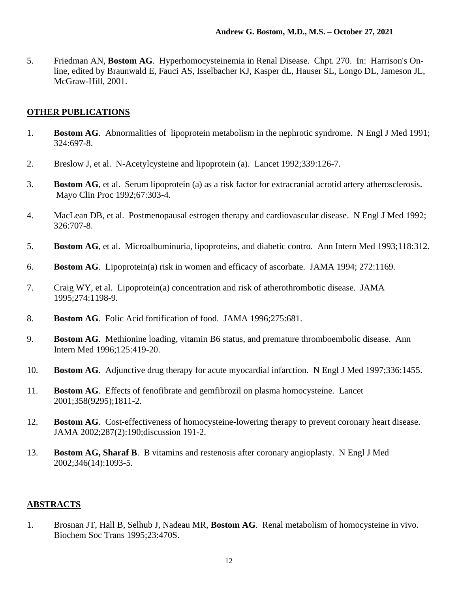5. Friedman AN, **Bostom AG**. Hyperhomocysteinemia in Renal Disease. Chpt. 270. In: Harrison's Online, edited by Braunwald E, Fauci AS, Isselbacher KJ, Kasper dL, Hauser SL, Longo DL, Jameson JL, McGraw-Hill, 2001.

## **OTHER PUBLICATIONS**

- 1. **Bostom AG**. Abnormalities of lipoprotein metabolism in the nephrotic syndrome. N Engl J Med 1991; 324:697-8.
- 2. Breslow J, et al. N-Acetylcysteine and lipoprotein (a). Lancet 1992;339:126-7.
- 3. **Bostom AG**, et al. Serum lipoprotein (a) as a risk factor for extracranial acrotid artery atherosclerosis. Mayo Clin Proc 1992;67:303-4.
- 4. MacLean DB, et al. Postmenopausal estrogen therapy and cardiovascular disease. N Engl J Med 1992; 326:707-8.
- 5. **Bostom AG**, et al. Microalbuminuria, lipoproteins, and diabetic contro. Ann Intern Med 1993;118:312.
- 6. **Bostom AG**. Lipoprotein(a) risk in women and efficacy of ascorbate. JAMA 1994; 272:1169.
- 7. Craig WY, et al. Lipoprotein(a) concentration and risk of atherothrombotic disease. JAMA 1995;274:1198-9.
- 8. **Bostom AG**. Folic Acid fortification of food. JAMA 1996;275:681.
- 9. **Bostom AG**. Methionine loading, vitamin B6 status, and premature thromboembolic disease. Ann Intern Med 1996;125:419-20.
- 10. **Bostom AG**. Adjunctive drug therapy for acute myocardial infarction. N Engl J Med 1997;336:1455.
- 11. **Bostom AG**. Effects of fenofibrate and gemfibrozil on plasma homocysteine. Lancet 2001;358(9295);1811-2.
- 12. **Bostom AG**. Cost-effectiveness of homocysteine-lowering therapy to prevent coronary heart disease. JAMA 2002;287(2):190;discussion 191-2.
- 13. **Bostom AG, Sharaf B**. B vitamins and restenosis after coronary angioplasty. N Engl J Med 2002;346(14):1093-5.

### **ABSTRACTS**

1. Brosnan JT, Hall B, Selhub J, Nadeau MR, **Bostom AG**. Renal metabolism of homocysteine in vivo. Biochem Soc Trans 1995;23:470S.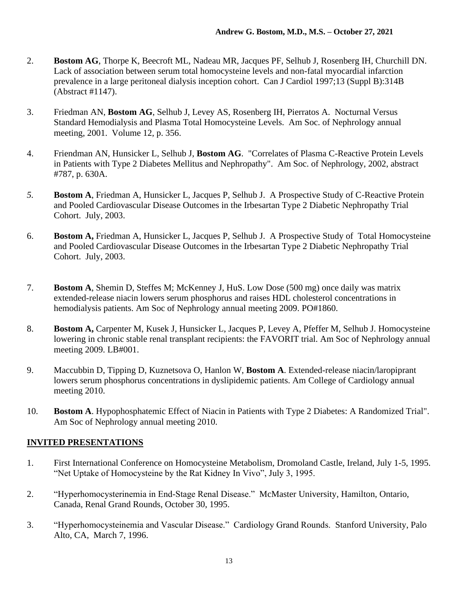- 2. **Bostom AG**, Thorpe K, Beecroft ML, Nadeau MR, Jacques PF, Selhub J, Rosenberg IH, Churchill DN. Lack of association between serum total homocysteine levels and non-fatal myocardial infarction prevalence in a large peritoneal dialysis inception cohort. Can J Cardiol 1997;13 (Suppl B):314B (Abstract #1147).
- 3. Friedman AN, **Bostom AG**, Selhub J, Levey AS, Rosenberg IH, Pierratos A. Nocturnal Versus Standard Hemodialysis and Plasma Total Homocysteine Levels. Am Soc. of Nephrology annual meeting, 2001. Volume 12, p. 356.
- 4. Friendman AN, Hunsicker L, Selhub J, **Bostom AG**. "Correlates of Plasma C-Reactive Protein Levels in Patients with Type 2 Diabetes Mellitus and Nephropathy". Am Soc. of Nephrology, 2002, abstract #787, p. 630A.
- *5.* **Bostom A**, Friedman A, Hunsicker L, Jacques P, Selhub J. A Prospective Study of C-Reactive Protein and Pooled Cardiovascular Disease Outcomes in the Irbesartan Type 2 Diabetic Nephropathy Trial Cohort. July, 2003.
- 6. **Bostom A,** Friedman A, Hunsicker L, Jacques P, Selhub J. A Prospective Study of Total Homocysteine and Pooled Cardiovascular Disease Outcomes in the Irbesartan Type 2 Diabetic Nephropathy Trial Cohort. July, 2003.
- 7. **Bostom A**, Shemin D, Steffes M; McKenney J, HuS. Low Dose (500 mg) once daily was matrix extended-release niacin lowers serum phosphorus and raises HDL cholesterol concentrations in hemodialysis patients. Am Soc of Nephrology annual meeting 2009. PO#1860.
- 8. **Bostom A,** Carpenter M, Kusek J, Hunsicker L, Jacques P, Levey A, Pfeffer M, Selhub J. Homocysteine lowering in chronic stable renal transplant recipients: the FAVORIT trial. Am Soc of Nephrology annual meeting 2009. LB#001.
- 9. Maccubbin D, Tipping D, Kuznetsova O, Hanlon W, **Bostom A**. Extended-release niacin/laropiprant lowers serum phosphorus concentrations in dyslipidemic patients. Am College of Cardiology annual meeting 2010.
- 10. **Bostom A**. Hypophosphatemic Effect of Niacin in Patients with Type 2 Diabetes: A Randomized Trial". Am Soc of Nephrology annual meeting 2010.

## **INVITED PRESENTATIONS**

- 1. First International Conference on Homocysteine Metabolism, Dromoland Castle, Ireland, July 1-5, 1995. "Net Uptake of Homocysteine by the Rat Kidney In Vivo", July 3, 1995.
- 2. "Hyperhomocysterinemia in End-Stage Renal Disease." McMaster University, Hamilton, Ontario, Canada, Renal Grand Rounds, October 30, 1995.
- 3. "Hyperhomocysteinemia and Vascular Disease." Cardiology Grand Rounds. Stanford University, Palo Alto, CA, March 7, 1996.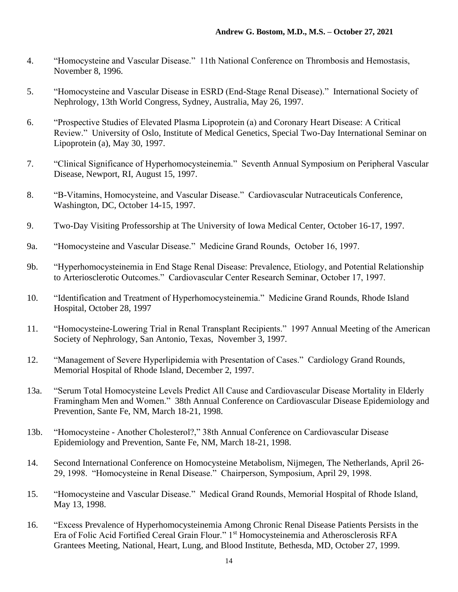- 4. "Homocysteine and Vascular Disease." 11th National Conference on Thrombosis and Hemostasis, November 8, 1996.
- 5. "Homocysteine and Vascular Disease in ESRD (End-Stage Renal Disease)." International Society of Nephrology, 13th World Congress, Sydney, Australia, May 26, 1997.
- 6. "Prospective Studies of Elevated Plasma Lipoprotein (a) and Coronary Heart Disease: A Critical Review." University of Oslo, Institute of Medical Genetics, Special Two-Day International Seminar on Lipoprotein (a), May 30, 1997.
- 7. "Clinical Significance of Hyperhomocysteinemia." Seventh Annual Symposium on Peripheral Vascular Disease, Newport, RI, August 15, 1997.
- 8. "B-Vitamins, Homocysteine, and Vascular Disease." Cardiovascular Nutraceuticals Conference, Washington, DC, October 14-15, 1997.
- 9. Two-Day Visiting Professorship at The University of Iowa Medical Center, October 16-17, 1997.
- 9a. "Homocysteine and Vascular Disease." Medicine Grand Rounds, October 16, 1997.
- 9b. "Hyperhomocysteinemia in End Stage Renal Disease: Prevalence, Etiology, and Potential Relationship to Arteriosclerotic Outcomes." Cardiovascular Center Research Seminar, October 17, 1997.
- 10. "Identification and Treatment of Hyperhomocysteinemia." Medicine Grand Rounds, Rhode Island Hospital, October 28, 1997
- 11. "Homocysteine-Lowering Trial in Renal Transplant Recipients." 1997 Annual Meeting of the American Society of Nephrology, San Antonio, Texas, November 3, 1997.
- 12. "Management of Severe Hyperlipidemia with Presentation of Cases." Cardiology Grand Rounds, Memorial Hospital of Rhode Island, December 2, 1997.
- 13a. "Serum Total Homocysteine Levels Predict All Cause and Cardiovascular Disease Mortality in Elderly Framingham Men and Women." 38th Annual Conference on Cardiovascular Disease Epidemiology and Prevention, Sante Fe, NM, March 18-21, 1998.
- 13b. "Homocysteine Another Cholesterol?," 38th Annual Conference on Cardiovascular Disease Epidemiology and Prevention, Sante Fe, NM, March 18-21, 1998.
- 14. Second International Conference on Homocysteine Metabolism, Nijmegen, The Netherlands, April 26- 29, 1998. "Homocysteine in Renal Disease." Chairperson, Symposium, April 29, 1998.
- 15. "Homocysteine and Vascular Disease." Medical Grand Rounds, Memorial Hospital of Rhode Island, May 13, 1998.
- 16. "Excess Prevalence of Hyperhomocysteinemia Among Chronic Renal Disease Patients Persists in the Era of Folic Acid Fortified Cereal Grain Flour." 1st Homocysteinemia and Atherosclerosis RFA Grantees Meeting, National, Heart, Lung, and Blood Institute, Bethesda, MD, October 27, 1999.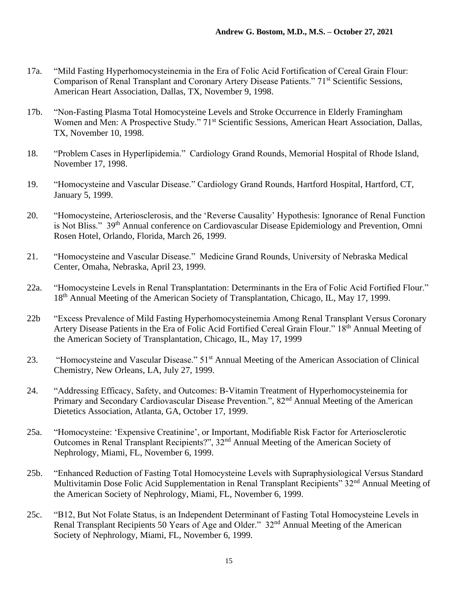- 17a. "Mild Fasting Hyperhomocysteinemia in the Era of Folic Acid Fortification of Cereal Grain Flour: Comparison of Renal Transplant and Coronary Artery Disease Patients." 71<sup>st</sup> Scientific Sessions, American Heart Association, Dallas, TX, November 9, 1998.
- 17b. "Non-Fasting Plasma Total Homocysteine Levels and Stroke Occurrence in Elderly Framingham Women and Men: A Prospective Study." 71<sup>st</sup> Scientific Sessions, American Heart Association, Dallas, TX, November 10, 1998.
- 18. "Problem Cases in Hyperlipidemia." Cardiology Grand Rounds, Memorial Hospital of Rhode Island, November 17, 1998.
- 19. "Homocysteine and Vascular Disease." Cardiology Grand Rounds, Hartford Hospital, Hartford, CT, January 5, 1999.
- 20. "Homocysteine, Arteriosclerosis, and the 'Reverse Causality' Hypothesis: Ignorance of Renal Function is Not Bliss." 39<sup>th</sup> Annual conference on Cardiovascular Disease Epidemiology and Prevention, Omni Rosen Hotel, Orlando, Florida, March 26, 1999.
- 21. "Homocysteine and Vascular Disease." Medicine Grand Rounds, University of Nebraska Medical Center, Omaha, Nebraska, April 23, 1999.
- 22a. "Homocysteine Levels in Renal Transplantation: Determinants in the Era of Folic Acid Fortified Flour." 18th Annual Meeting of the American Society of Transplantation, Chicago, IL, May 17, 1999.
- 22b "Excess Prevalence of Mild Fasting Hyperhomocysteinemia Among Renal Transplant Versus Coronary Artery Disease Patients in the Era of Folic Acid Fortified Cereal Grain Flour." 18th Annual Meeting of the American Society of Transplantation, Chicago, IL, May 17, 1999
- 23. "Homocysteine and Vascular Disease." 51st Annual Meeting of the American Association of Clinical Chemistry, New Orleans, LA, July 27, 1999.
- 24. "Addressing Efficacy, Safety, and Outcomes: B-Vitamin Treatment of Hyperhomocysteinemia for Primary and Secondary Cardiovascular Disease Prevention.", 82<sup>nd</sup> Annual Meeting of the American Dietetics Association, Atlanta, GA, October 17, 1999.
- 25a. "Homocysteine: 'Expensive Creatinine', or Important, Modifiable Risk Factor for Arteriosclerotic Outcomes in Renal Transplant Recipients?", 32nd Annual Meeting of the American Society of Nephrology, Miami, FL, November 6, 1999.
- 25b. "Enhanced Reduction of Fasting Total Homocysteine Levels with Supraphysiological Versus Standard Multivitamin Dose Folic Acid Supplementation in Renal Transplant Recipients" 32<sup>nd</sup> Annual Meeting of the American Society of Nephrology, Miami, FL, November 6, 1999.
- 25c. "B12, But Not Folate Status, is an Independent Determinant of Fasting Total Homocysteine Levels in Renal Transplant Recipients 50 Years of Age and Older." 32nd Annual Meeting of the American Society of Nephrology, Miami, FL, November 6, 1999.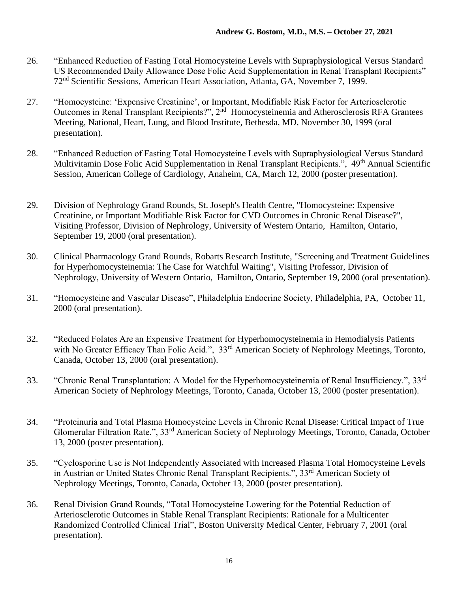- 26. "Enhanced Reduction of Fasting Total Homocysteine Levels with Supraphysiological Versus Standard US Recommended Daily Allowance Dose Folic Acid Supplementation in Renal Transplant Recipients" 72nd Scientific Sessions, American Heart Association, Atlanta, GA, November 7, 1999.
- 27. "Homocysteine: 'Expensive Creatinine', or Important, Modifiable Risk Factor for Arteriosclerotic Outcomes in Renal Transplant Recipients?", 2<sup>nd</sup> Homocysteinemia and Atherosclerosis RFA Grantees Meeting, National, Heart, Lung, and Blood Institute, Bethesda, MD, November 30, 1999 (oral presentation).
- 28. "Enhanced Reduction of Fasting Total Homocysteine Levels with Supraphysiological Versus Standard Multivitamin Dose Folic Acid Supplementation in Renal Transplant Recipients.", 49<sup>th</sup> Annual Scientific Session, American College of Cardiology, Anaheim, CA, March 12, 2000 (poster presentation).
- 29. Division of Nephrology Grand Rounds, St. Joseph's Health Centre, "Homocysteine: Expensive Creatinine, or Important Modifiable Risk Factor for CVD Outcomes in Chronic Renal Disease?", Visiting Professor, Division of Nephrology, University of Western Ontario, Hamilton, Ontario, September 19, 2000 (oral presentation).
- 30. Clinical Pharmacology Grand Rounds, Robarts Research Institute, "Screening and Treatment Guidelines for Hyperhomocysteinemia: The Case for Watchful Waiting", Visiting Professor, Division of Nephrology, University of Western Ontario, Hamilton, Ontario, September 19, 2000 (oral presentation).
- 31. "Homocysteine and Vascular Disease", Philadelphia Endocrine Society, Philadelphia, PA, October 11, 2000 (oral presentation).
- 32. "Reduced Folates Are an Expensive Treatment for Hyperhomocysteinemia in Hemodialysis Patients with No Greater Efficacy Than Folic Acid.", 33<sup>rd</sup> American Society of Nephrology Meetings, Toronto, Canada, October 13, 2000 (oral presentation).
- 33. "Chronic Renal Transplantation: A Model for the Hyperhomocysteinemia of Renal Insufficiency.", 33rd American Society of Nephrology Meetings, Toronto, Canada, October 13, 2000 (poster presentation).
- 34. "Proteinuria and Total Plasma Homocysteine Levels in Chronic Renal Disease: Critical Impact of True Glomerular Filtration Rate.", 33rd American Society of Nephrology Meetings, Toronto, Canada, October 13, 2000 (poster presentation).
- 35. "Cyclosporine Use is Not Independently Associated with Increased Plasma Total Homocysteine Levels in Austrian or United States Chronic Renal Transplant Recipients.", 33<sup>rd</sup> American Society of Nephrology Meetings, Toronto, Canada, October 13, 2000 (poster presentation).
- 36. Renal Division Grand Rounds, "Total Homocysteine Lowering for the Potential Reduction of Arteriosclerotic Outcomes in Stable Renal Transplant Recipients: Rationale for a Multicenter Randomized Controlled Clinical Trial", Boston University Medical Center, February 7, 2001 (oral presentation).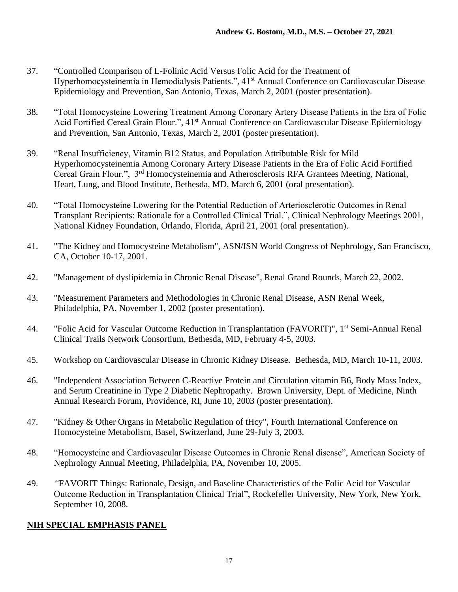- 37. "Controlled Comparison of L-Folinic Acid Versus Folic Acid for the Treatment of Hyperhomocysteinemia in Hemodialysis Patients.", 41<sup>st</sup> Annual Conference on Cardiovascular Disease Epidemiology and Prevention, San Antonio, Texas, March 2, 2001 (poster presentation).
- 38. "Total Homocysteine Lowering Treatment Among Coronary Artery Disease Patients in the Era of Folic Acid Fortified Cereal Grain Flour.", 41<sup>st</sup> Annual Conference on Cardiovascular Disease Epidemiology and Prevention, San Antonio, Texas, March 2, 2001 (poster presentation).
- 39. "Renal Insufficiency, Vitamin B12 Status, and Population Attributable Risk for Mild Hyperhomocysteinemia Among Coronary Artery Disease Patients in the Era of Folic Acid Fortified Cereal Grain Flour.", 3rd Homocysteinemia and Atherosclerosis RFA Grantees Meeting, National, Heart, Lung, and Blood Institute, Bethesda, MD, March 6, 2001 (oral presentation).
- 40. "Total Homocysteine Lowering for the Potential Reduction of Arteriosclerotic Outcomes in Renal Transplant Recipients: Rationale for a Controlled Clinical Trial.", Clinical Nephrology Meetings 2001, National Kidney Foundation, Orlando, Florida, April 21, 2001 (oral presentation).
- 41. "The Kidney and Homocysteine Metabolism", ASN/ISN World Congress of Nephrology, San Francisco, CA, October 10-17, 2001.
- 42. "Management of dyslipidemia in Chronic Renal Disease", Renal Grand Rounds, March 22, 2002.
- 43. "Measurement Parameters and Methodologies in Chronic Renal Disease, ASN Renal Week, Philadelphia, PA, November 1, 2002 (poster presentation).
- 44. "Folic Acid for Vascular Outcome Reduction in Transplantation (FAVORIT)", 1<sup>st</sup> Semi-Annual Renal Clinical Trails Network Consortium, Bethesda, MD, February 4-5, 2003.
- 45. Workshop on Cardiovascular Disease in Chronic Kidney Disease. Bethesda, MD, March 10-11, 2003.
- 46. "Independent Association Between C-Reactive Protein and Circulation vitamin B6, Body Mass Index, and Serum Creatinine in Type 2 Diabetic Nephropathy. Brown University, Dept. of Medicine, Ninth Annual Research Forum, Providence, RI, June 10, 2003 (poster presentation).
- 47. "Kidney & Other Organs in Metabolic Regulation of tHcy", Fourth International Conference on Homocysteine Metabolism, Basel, Switzerland, June 29-July 3, 2003.
- 48. "Homocysteine and Cardiovascular Disease Outcomes in Chronic Renal disease", American Society of Nephrology Annual Meeting, Philadelphia, PA, November 10, 2005.
- 49. *"*FAVORIT Things: Rationale, Design, and Baseline Characteristics of the Folic Acid for Vascular Outcome Reduction in Transplantation Clinical Trial", Rockefeller University, New York, New York, September 10, 2008.

# **NIH SPECIAL EMPHASIS PANEL**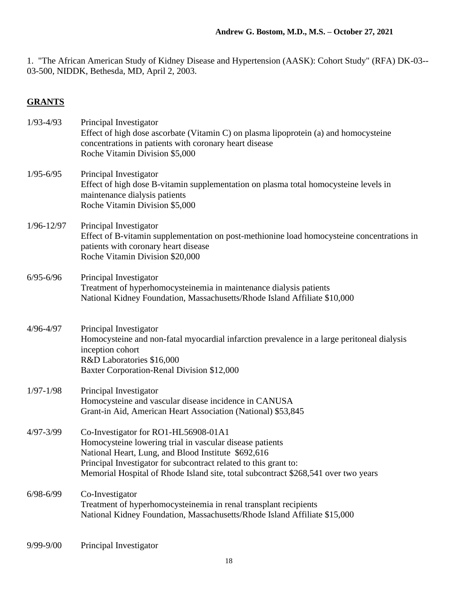1. "The African American Study of Kidney Disease and Hypertension (AASK): Cohort Study" (RFA) DK-03-- 03-500, NIDDK, Bethesda, MD, April 2, 2003.

# **GRANTS**

| $1/93 - 4/93$  | Principal Investigator<br>Effect of high dose ascorbate (Vitamin C) on plasma lipoprotein (a) and homocysteine<br>concentrations in patients with coronary heart disease<br>Roche Vitamin Division \$5,000                                                                                                        |
|----------------|-------------------------------------------------------------------------------------------------------------------------------------------------------------------------------------------------------------------------------------------------------------------------------------------------------------------|
| $1/95 - 6/95$  | Principal Investigator<br>Effect of high dose B-vitamin supplementation on plasma total homocysteine levels in<br>maintenance dialysis patients<br>Roche Vitamin Division \$5,000                                                                                                                                 |
| $1/96 - 12/97$ | Principal Investigator<br>Effect of B-vitamin supplementation on post-methionine load homocysteine concentrations in<br>patients with coronary heart disease<br>Roche Vitamin Division \$20,000                                                                                                                   |
| $6/95 - 6/96$  | Principal Investigator<br>Treatment of hyperhomocysteinemia in maintenance dialysis patients<br>National Kidney Foundation, Massachusetts/Rhode Island Affiliate \$10,000                                                                                                                                         |
| $4/96 - 4/97$  | Principal Investigator<br>Homocysteine and non-fatal myocardial infarction prevalence in a large peritoneal dialysis<br>inception cohort<br>R&D Laboratories \$16,000<br>Baxter Corporation-Renal Division \$12,000                                                                                               |
| $1/97 - 1/98$  | Principal Investigator<br>Homocysteine and vascular disease incidence in CANUSA<br>Grant-in Aid, American Heart Association (National) \$53,845                                                                                                                                                                   |
| $4/97 - 3/99$  | Co-Investigator for RO1-HL56908-01A1<br>Homocysteine lowering trial in vascular disease patients<br>National Heart, Lung, and Blood Institute \$692,616<br>Principal Investigator for subcontract related to this grant to:<br>Memorial Hospital of Rhode Island site, total subcontract \$268,541 over two years |
| $6/98 - 6/99$  | Co-Investigator<br>Treatment of hyperhomocysteinemia in renal transplant recipients<br>National Kidney Foundation, Massachusetts/Rhode Island Affiliate \$15,000                                                                                                                                                  |
| $9/99 - 9/00$  | Principal Investigator                                                                                                                                                                                                                                                                                            |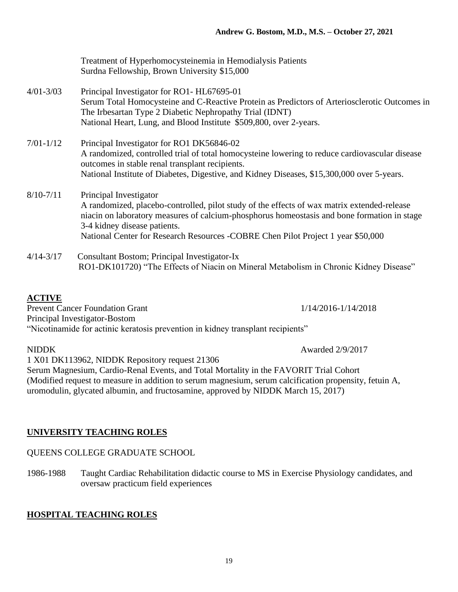|               | Treatment of Hyperhomocysteinemia in Hemodialysis Patients<br>Surdna Fellowship, Brown University \$15,000                                               |
|---------------|----------------------------------------------------------------------------------------------------------------------------------------------------------|
| $4/01 - 3/03$ | Principal Investigator for RO1- HL67695-01                                                                                                               |
|               | Serum Total Homocysteine and C-Reactive Protein as Predictors of Arteriosclerotic Outcomes in<br>The Irbesartan Type 2 Diabetic Nephropathy Trial (IDNT) |
|               | National Heart, Lung, and Blood Institute \$509,800, over 2-years.                                                                                       |
| $7/01 - 1/12$ | Principal Investigator for RO1 DK56846-02                                                                                                                |
|               | A randomized, controlled trial of total homocysteine lowering to reduce cardiovascular disease<br>outcomes in stable renal transplant recipients.        |
|               | National Institute of Diabetes, Digestive, and Kidney Diseases, \$15,300,000 over 5-years.                                                               |
| $8/10 - 7/11$ | Principal Investigator                                                                                                                                   |
|               | A randomized, placebo-controlled, pilot study of the effects of wax matrix extended-release                                                              |
|               | niacin on laboratory measures of calcium-phosphorus homeostasis and bone formation in stage<br>3-4 kidney disease patients.                              |
|               | National Center for Research Resources -COBRE Chen Pilot Project 1 year \$50,000                                                                         |
| $4/14 - 3/17$ | Consultant Bostom; Principal Investigator-Ix                                                                                                             |
|               | RO1-DK101720) "The Effects of Niacin on Mineral Metabolism in Chronic Kidney Disease"                                                                    |

# **ACTIVE**

Prevent Cancer Foundation Grant 1/14/2016-1/14/2018 Principal Investigator-Bostom "Nicotinamide for actinic keratosis prevention in kidney transplant recipients"

NIDDK Awarded 2/9/2017

1 X01 DK113962, NIDDK Repository request 21306 Serum Magnesium, Cardio-Renal Events, and Total Mortality in the FAVORIT Trial Cohort (Modified request to measure in addition to serum magnesium, serum calcification propensity, fetuin A, uromodulin, glycated albumin, and fructosamine, approved by NIDDK March 15, 2017)

# **UNIVERSITY TEACHING ROLES**

## QUEENS COLLEGE GRADUATE SCHOOL

1986-1988 Taught Cardiac Rehabilitation didactic course to MS in Exercise Physiology candidates, and oversaw practicum field experiences

# **HOSPITAL TEACHING ROLES**